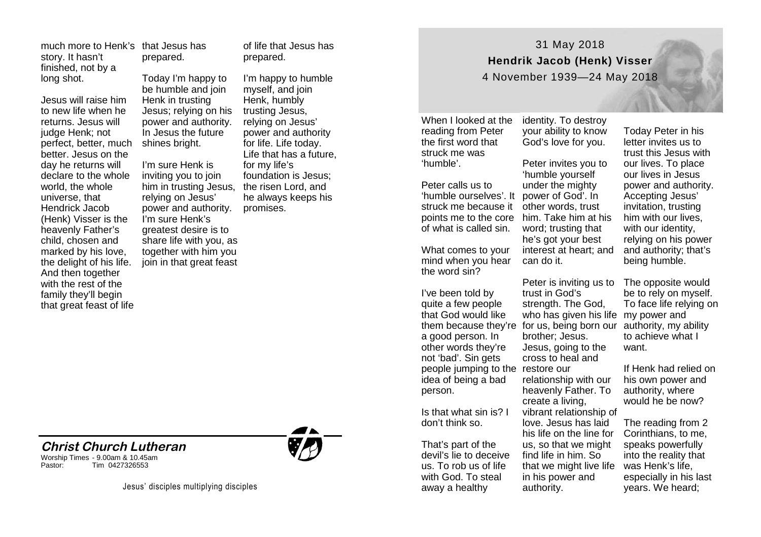story. It hasn't finished, not by a long shot.

Jesus will raise him to new life when he returns. Jesus will judge Henk; not perfect, better, much better. Jesus on the day he returns will declare to the whole world, the whole universe, that Hendrick Jacob (Henk) Visser is the heavenly Father's child, chosen and marked by his love, the delight of his life. And then together with the rest of the family they'll begin that great feast of life

much more to Henk's that Jesus has prepared.

> Today I'm happy to be humble and join Henk in trusting Jesus; relying on his power and authority. In Jesus the future shines bright.

I'm sure Henk is inviting you to join him in trusting Jesus, relying on Jesus' power and authority. I'm sure Henk's greatest desire is to share life with you, as together with him you join in that great feast

of life that Jesus has prepared.

I'm happy to humble myself, and join Henk, humbly trusting Jesus, relying on Jesus' power and authority for life. Life today. Life that has a future, for my life's foundation is Jesus; the risen Lord, and he always keeps his promises.



31 May 2018 **Hendrik Jacob (Henk) Visser**

4 November 1939—24 May 2018

When I looked at the reading from Peter the first word that struck me was 'humble'.

Peter calls us to 'humble ourselves'. It struck me because it other words, trust points me to the core him. Take him at his of what is called sin.

What comes to your mind when you hear the word sin?

I've been told by quite a few people that God would like a good person. In other words they're not 'bad'. Sin gets people jumping to the restore our idea of being a bad person.

Is that what sin is? I don't think so.

That's part of the devil's lie to deceive us. To rob us of life with God. To steal away a healthy

identity. To destroy your ability to know God's love for you.

Peter invites you to 'humble yourself under the mighty power of God'. In word; trusting that he's got your best interest at heart; and can do it.

them because they're for us, being born our authority, my ability Peter is inviting us to trust in God's strength. The God. who has given his life my power and brother; Jesus. Jesus, going to the cross to heal and relationship with our heavenly Father. To create a living, vibrant relationship of love. Jesus has laid his life on the line for us, so that we might find life in him. So that we might live life in his power and authority.

Today Peter in his letter invites us to trust this Jesus with our lives. To place our lives in Jesus power and authority. Accepting Jesus' invitation, trusting him with our lives, with our identity, relying on his power and authority; that's being humble.

The opposite would be to rely on myself. To face life relying on to achieve what I want.

If Henk had relied on his own power and authority, where would he be now?

The reading from 2 Corinthians, to me, speaks powerfully into the reality that was Henk's life, especially in his last years. We heard;

Jesus' disciples multiplying disciples

**Christ Church Lutheran**

Tim 0427326553

Worship Times - 9.00am & 10.45am